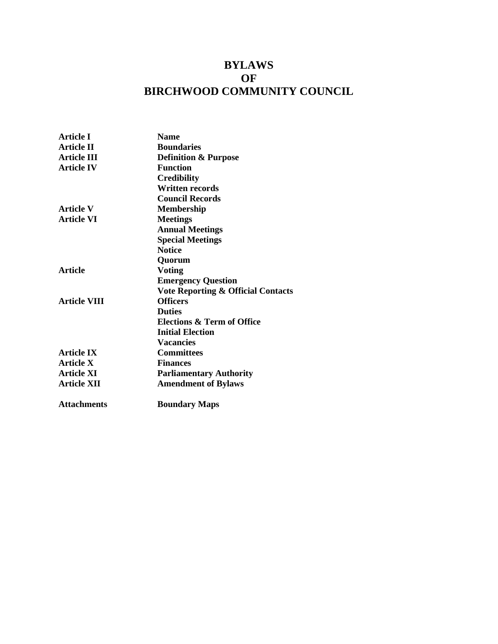# **BYLAWS OF BIRCHWOOD COMMUNITY COUNCIL**

| <b>Name</b>                                   |
|-----------------------------------------------|
| <b>Boundaries</b>                             |
| <b>Definition &amp; Purpose</b>               |
| <b>Function</b>                               |
| <b>Credibility</b>                            |
| <b>Written records</b>                        |
| <b>Council Records</b>                        |
| <b>Membership</b>                             |
| <b>Meetings</b>                               |
| <b>Annual Meetings</b>                        |
| <b>Special Meetings</b>                       |
| <b>Notice</b>                                 |
| Quorum                                        |
| <b>Voting</b>                                 |
| <b>Emergency Question</b>                     |
| <b>Vote Reporting &amp; Official Contacts</b> |
| <b>Officers</b>                               |
| <b>Duties</b>                                 |
| Elections & Term of Office                    |
| <b>Initial Election</b>                       |
| <b>Vacancies</b>                              |
| <b>Committees</b>                             |
| <b>Finances</b>                               |
| <b>Parliamentary Authority</b>                |
| <b>Amendment of Bylaws</b>                    |
| <b>Boundary Maps</b>                          |
|                                               |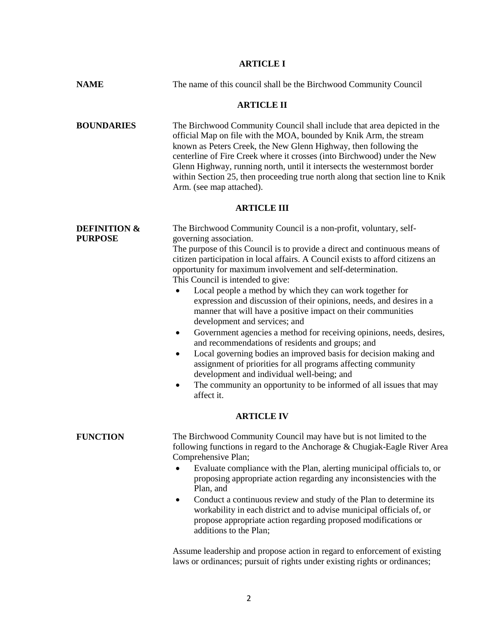# **ARTICLE I**

| <b>NAME</b>                               | The name of this council shall be the Birchwood Community Council                                                                                                                                                                                                                                                                                                                                                                                                                                                                                                                                                                                                                                                                                                                                                                                                                                                                                                                                                          |  |  |  |
|-------------------------------------------|----------------------------------------------------------------------------------------------------------------------------------------------------------------------------------------------------------------------------------------------------------------------------------------------------------------------------------------------------------------------------------------------------------------------------------------------------------------------------------------------------------------------------------------------------------------------------------------------------------------------------------------------------------------------------------------------------------------------------------------------------------------------------------------------------------------------------------------------------------------------------------------------------------------------------------------------------------------------------------------------------------------------------|--|--|--|
| <b>ARTICLE II</b>                         |                                                                                                                                                                                                                                                                                                                                                                                                                                                                                                                                                                                                                                                                                                                                                                                                                                                                                                                                                                                                                            |  |  |  |
| <b>BOUNDARIES</b>                         | The Birchwood Community Council shall include that area depicted in the<br>official Map on file with the MOA, bounded by Knik Arm, the stream<br>known as Peters Creek, the New Glenn Highway, then following the<br>centerline of Fire Creek where it crosses (into Birchwood) under the New<br>Glenn Highway, running north, until it intersects the westernmost border<br>within Section 25, then proceeding true north along that section line to Knik<br>Arm. (see map attached).                                                                                                                                                                                                                                                                                                                                                                                                                                                                                                                                     |  |  |  |
|                                           | <b>ARTICLE III</b>                                                                                                                                                                                                                                                                                                                                                                                                                                                                                                                                                                                                                                                                                                                                                                                                                                                                                                                                                                                                         |  |  |  |
| <b>DEFINITION &amp;</b><br><b>PURPOSE</b> | The Birchwood Community Council is a non-profit, voluntary, self-<br>governing association.<br>The purpose of this Council is to provide a direct and continuous means of<br>citizen participation in local affairs. A Council exists to afford citizens an<br>opportunity for maximum involvement and self-determination.<br>This Council is intended to give:<br>Local people a method by which they can work together for<br>expression and discussion of their opinions, needs, and desires in a<br>manner that will have a positive impact on their communities<br>development and services; and<br>Government agencies a method for receiving opinions, needs, desires,<br>$\bullet$<br>and recommendations of residents and groups; and<br>Local governing bodies an improved basis for decision making and<br>٠<br>assignment of priorities for all programs affecting community<br>development and individual well-being; and<br>The community an opportunity to be informed of all issues that may<br>affect it. |  |  |  |
| <b>ARTICLE IV</b>                         |                                                                                                                                                                                                                                                                                                                                                                                                                                                                                                                                                                                                                                                                                                                                                                                                                                                                                                                                                                                                                            |  |  |  |
| <b>FUNCTION</b>                           | The Birchwood Community Council may have but is not limited to the<br>following functions in regard to the Anchorage & Chugiak-Eagle River Area<br>Comprehensive Plan;<br>Evaluate compliance with the Plan, alerting municipal officials to, or<br>proposing appropriate action regarding any inconsistencies with the<br>Plan, and<br>Conduct a continuous review and study of the Plan to determine its<br>$\bullet$<br>workability in each district and to advise municipal officials of, or<br>propose appropriate action regarding proposed modifications or<br>additions to the Plan;                                                                                                                                                                                                                                                                                                                                                                                                                               |  |  |  |
|                                           | Assume leadership and propose action in regard to enforcement of existing<br>laws or ordinances; pursuit of rights under existing rights or ordinances;                                                                                                                                                                                                                                                                                                                                                                                                                                                                                                                                                                                                                                                                                                                                                                                                                                                                    |  |  |  |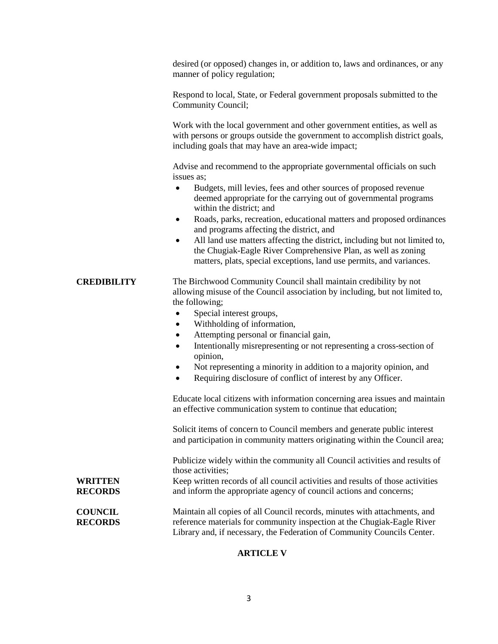desired (or opposed) changes in, or addition to, laws and ordinances, or any manner of policy regulation;

Respond to local, State, or Federal government proposals submitted to the Community Council;

Work with the local government and other government entities, as well as with persons or groups outside the government to accomplish district goals, including goals that may have an area-wide impact;

Advise and recommend to the appropriate governmental officials on such issues as;

- Budgets, mill levies, fees and other sources of proposed revenue deemed appropriate for the carrying out of governmental programs within the district; and
- Roads, parks, recreation, educational matters and proposed ordinances and programs affecting the district, and
- All land use matters affecting the district, including but not limited to, the Chugiak-Eagle River Comprehensive Plan, as well as zoning matters, plats, special exceptions, land use permits, and variances.

## **CREDIBILITY** The Birchwood Community Council shall maintain credibility by not allowing misuse of the Council association by including, but not limited to, the following;

- Special interest groups,
- Withholding of information,
- Attempting personal or financial gain,
- Intentionally misrepresenting or not representing a cross-section of opinion,
- Not representing a minority in addition to a majority opinion, and
- Requiring disclosure of conflict of interest by any Officer.

Educate local citizens with information concerning area issues and maintain an effective communication system to continue that education;

Solicit items of concern to Council members and generate public interest and participation in community matters originating within the Council area;

Publicize widely within the community all Council activities and results of those activities;

**WRITTEN RECORDS** Keep written records of all council activities and results of those activities and inform the appropriate agency of council actions and concerns;

**COUNCIL RECORDS** Maintain all copies of all Council records, minutes with attachments, and reference materials for community inspection at the Chugiak-Eagle River Library and, if necessary, the Federation of Community Councils Center.

## **ARTICLE V**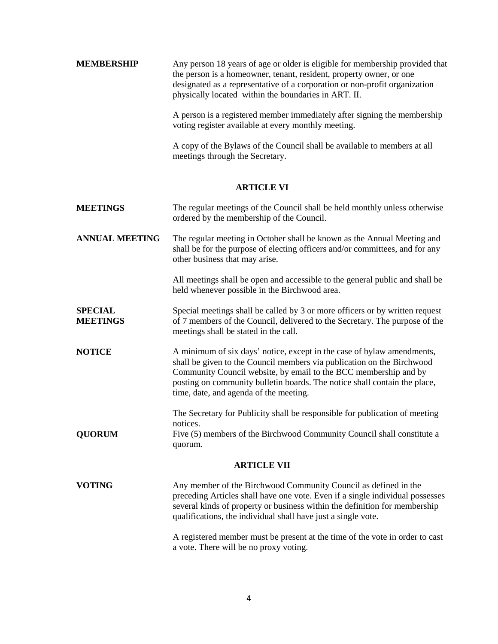| <b>MEMBERSHIP</b> | Any person 18 years of age or older is eligible for membership provided that |
|-------------------|------------------------------------------------------------------------------|
|                   | the person is a homeowner, tenant, resident, property owner, or one          |
|                   | designated as a representative of a corporation or non-profit organization   |
|                   | physically located within the boundaries in ART. II.                         |
|                   |                                                                              |

A person is a registered member immediately after signing the membership voting register available at every monthly meeting.

A copy of the Bylaws of the Council shall be available to members at all meetings through the Secretary.

## **ARTICLE VI**

| <b>MEETINGS</b>                   | The regular meetings of the Council shall be held monthly unless otherwise<br>ordered by the membership of the Council.                                                                                                                                                                                                                     |  |
|-----------------------------------|---------------------------------------------------------------------------------------------------------------------------------------------------------------------------------------------------------------------------------------------------------------------------------------------------------------------------------------------|--|
| <b>ANNUAL MEETING</b>             | The regular meeting in October shall be known as the Annual Meeting and<br>shall be for the purpose of electing officers and/or committees, and for any<br>other business that may arise.                                                                                                                                                   |  |
|                                   | All meetings shall be open and accessible to the general public and shall be<br>held whenever possible in the Birchwood area.                                                                                                                                                                                                               |  |
| <b>SPECIAL</b><br><b>MEETINGS</b> | Special meetings shall be called by 3 or more officers or by written request<br>of 7 members of the Council, delivered to the Secretary. The purpose of the<br>meetings shall be stated in the call.                                                                                                                                        |  |
| <b>NOTICE</b>                     | A minimum of six days' notice, except in the case of bylaw amendments,<br>shall be given to the Council members via publication on the Birchwood<br>Community Council website, by email to the BCC membership and by<br>posting on community bulletin boards. The notice shall contain the place,<br>time, date, and agenda of the meeting. |  |
| <b>QUORUM</b>                     | The Secretary for Publicity shall be responsible for publication of meeting<br>notices.<br>Five (5) members of the Birchwood Community Council shall constitute a<br>quorum.                                                                                                                                                                |  |
| <b>ARTICLE VII</b>                |                                                                                                                                                                                                                                                                                                                                             |  |
| <b>VOTING</b>                     | Any member of the Birchwood Community Council as defined in the<br>preceding Articles shall have one vote. Even if a single individual possesses<br>several kinds of property or business within the definition for membership<br>qualifications, the individual shall have just a single vote.                                             |  |
|                                   | A registered member must be present at the time of the vote in order to cast<br>a vote. There will be no proxy voting.                                                                                                                                                                                                                      |  |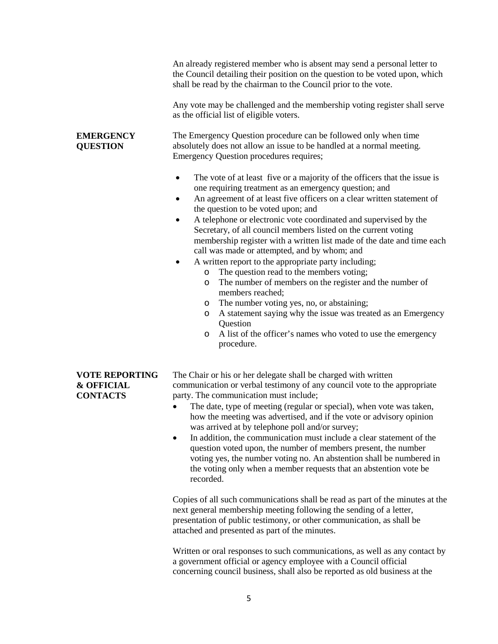|                                                                   | An already registered member who is absent may send a personal letter to<br>the Council detailing their position on the question to be voted upon, which<br>shall be read by the chairman to the Council prior to the vote.<br>Any vote may be challenged and the membership voting register shall serve                                                                                                                                                                                                                                                                                                                                                                                                                                                                                                                                                                                                                                                                                                                                                         |
|-------------------------------------------------------------------|------------------------------------------------------------------------------------------------------------------------------------------------------------------------------------------------------------------------------------------------------------------------------------------------------------------------------------------------------------------------------------------------------------------------------------------------------------------------------------------------------------------------------------------------------------------------------------------------------------------------------------------------------------------------------------------------------------------------------------------------------------------------------------------------------------------------------------------------------------------------------------------------------------------------------------------------------------------------------------------------------------------------------------------------------------------|
|                                                                   | as the official list of eligible voters.                                                                                                                                                                                                                                                                                                                                                                                                                                                                                                                                                                                                                                                                                                                                                                                                                                                                                                                                                                                                                         |
| <b>EMERGENCY</b><br><b>QUESTION</b>                               | The Emergency Question procedure can be followed only when time<br>absolutely does not allow an issue to be handled at a normal meeting.<br>Emergency Question procedures requires;                                                                                                                                                                                                                                                                                                                                                                                                                                                                                                                                                                                                                                                                                                                                                                                                                                                                              |
|                                                                   | The vote of at least five or a majority of the officers that the issue is<br>$\bullet$<br>one requiring treatment as an emergency question; and<br>An agreement of at least five officers on a clear written statement of<br>٠<br>the question to be voted upon; and<br>A telephone or electronic vote coordinated and supervised by the<br>٠<br>Secretary, of all council members listed on the current voting<br>membership register with a written list made of the date and time each<br>call was made or attempted, and by whom; and<br>A written report to the appropriate party including;<br>The question read to the members voting;<br>$\circ$<br>The number of members on the register and the number of<br>O<br>members reached;<br>The number voting yes, no, or abstaining;<br>$\circ$<br>A statement saying why the issue was treated as an Emergency<br>O<br>Question<br>A list of the officer's names who voted to use the emergency<br>$\circ$<br>procedure.                                                                                   |
| <b>VOTE REPORTING</b><br><b>&amp; OFFICIAL</b><br><b>CONTACTS</b> | The Chair or his or her delegate shall be charged with written<br>communication or verbal testimony of any council vote to the appropriate<br>party. The communication must include;<br>The date, type of meeting (regular or special), when vote was taken,<br>how the meeting was advertised, and if the vote or advisory opinion<br>was arrived at by telephone poll and/or survey;<br>In addition, the communication must include a clear statement of the<br>٠<br>question voted upon, the number of members present, the number<br>voting yes, the number voting no. An abstention shall be numbered in<br>the voting only when a member requests that an abstention vote be<br>recorded.<br>Copies of all such communications shall be read as part of the minutes at the<br>next general membership meeting following the sending of a letter,<br>presentation of public testimony, or other communication, as shall be<br>attached and presented as part of the minutes.<br>Written or oral responses to such communications, as well as any contact by |
|                                                                   | a government official or agency employee with a Council official<br>concerning council business, shall also be reported as old business at the                                                                                                                                                                                                                                                                                                                                                                                                                                                                                                                                                                                                                                                                                                                                                                                                                                                                                                                   |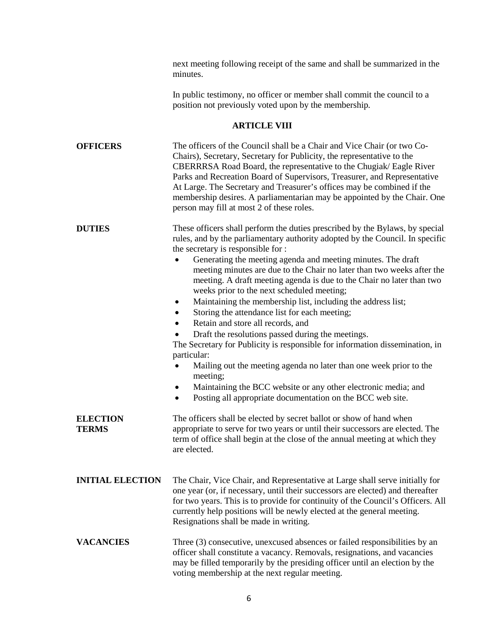next meeting following receipt of the same and shall be summarized in the minutes.

In public testimony, no officer or member shall commit the council to a position not previously voted upon by the membership.

# **ARTICLE VIII**

| <b>OFFICERS</b>                 | The officers of the Council shall be a Chair and Vice Chair (or two Co-<br>Chairs), Secretary, Secretary for Publicity, the representative to the<br>CBERRRSA Road Board, the representative to the Chugiak/Eagle River<br>Parks and Recreation Board of Supervisors, Treasurer, and Representative<br>At Large. The Secretary and Treasurer's offices may be combined if the<br>membership desires. A parliamentarian may be appointed by the Chair. One<br>person may fill at most 2 of these roles.                                                                                                                                                                                                                                                                                                                                                                                                                                                                                                                                       |
|---------------------------------|----------------------------------------------------------------------------------------------------------------------------------------------------------------------------------------------------------------------------------------------------------------------------------------------------------------------------------------------------------------------------------------------------------------------------------------------------------------------------------------------------------------------------------------------------------------------------------------------------------------------------------------------------------------------------------------------------------------------------------------------------------------------------------------------------------------------------------------------------------------------------------------------------------------------------------------------------------------------------------------------------------------------------------------------|
| <b>DUTIES</b>                   | These officers shall perform the duties prescribed by the Bylaws, by special<br>rules, and by the parliamentary authority adopted by the Council. In specific<br>the secretary is responsible for :<br>Generating the meeting agenda and meeting minutes. The draft<br>meeting minutes are due to the Chair no later than two weeks after the<br>meeting. A draft meeting agenda is due to the Chair no later than two<br>weeks prior to the next scheduled meeting;<br>Maintaining the membership list, including the address list;<br>$\bullet$<br>Storing the attendance list for each meeting;<br>٠<br>Retain and store all records, and<br>$\bullet$<br>Draft the resolutions passed during the meetings.<br>The Secretary for Publicity is responsible for information dissemination, in<br>particular:<br>Mailing out the meeting agenda no later than one week prior to the<br>meeting;<br>Maintaining the BCC website or any other electronic media; and<br>Posting all appropriate documentation on the BCC web site.<br>$\bullet$ |
| <b>ELECTION</b><br><b>TERMS</b> | The officers shall be elected by secret ballot or show of hand when<br>appropriate to serve for two years or until their successors are elected. The<br>term of office shall begin at the close of the annual meeting at which they<br>are elected.                                                                                                                                                                                                                                                                                                                                                                                                                                                                                                                                                                                                                                                                                                                                                                                          |
| <b>INITIAL ELECTION</b>         | The Chair, Vice Chair, and Representative at Large shall serve initially for<br>one year (or, if necessary, until their successors are elected) and thereafter<br>for two years. This is to provide for continuity of the Council's Officers. All<br>currently help positions will be newly elected at the general meeting.<br>Resignations shall be made in writing.                                                                                                                                                                                                                                                                                                                                                                                                                                                                                                                                                                                                                                                                        |
| <b>VACANCIES</b>                | Three (3) consecutive, unexcused absences or failed responsibilities by an<br>officer shall constitute a vacancy. Removals, resignations, and vacancies<br>may be filled temporarily by the presiding officer until an election by the<br>voting membership at the next regular meeting.                                                                                                                                                                                                                                                                                                                                                                                                                                                                                                                                                                                                                                                                                                                                                     |